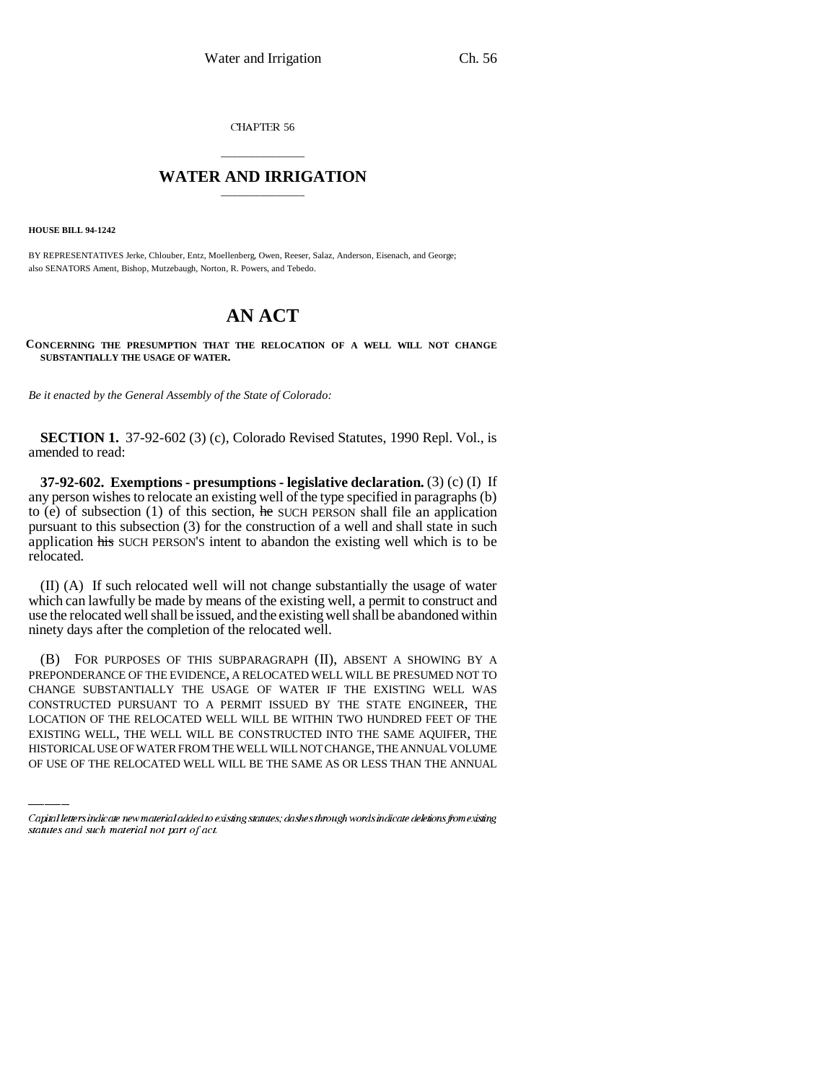CHAPTER 56

## \_\_\_\_\_\_\_\_\_\_\_\_\_\_\_ **WATER AND IRRIGATION** \_\_\_\_\_\_\_\_\_\_\_\_\_\_\_

**HOUSE BILL 94-1242**

BY REPRESENTATIVES Jerke, Chlouber, Entz, Moellenberg, Owen, Reeser, Salaz, Anderson, Eisenach, and George; also SENATORS Ament, Bishop, Mutzebaugh, Norton, R. Powers, and Tebedo.

## **AN ACT**

**CONCERNING THE PRESUMPTION THAT THE RELOCATION OF A WELL WILL NOT CHANGE SUBSTANTIALLY THE USAGE OF WATER.**

*Be it enacted by the General Assembly of the State of Colorado:*

**SECTION 1.** 37-92-602 (3) (c), Colorado Revised Statutes, 1990 Repl. Vol., is amended to read:

**37-92-602. Exemptions - presumptions - legislative declaration.** (3) (c) (I) If any person wishes to relocate an existing well of the type specified in paragraphs (b) to (e) of subsection (1) of this section, he SUCH PERSON shall file an application pursuant to this subsection (3) for the construction of a well and shall state in such application his SUCH PERSON'S intent to abandon the existing well which is to be relocated.

(II) (A) If such relocated well will not change substantially the usage of water which can lawfully be made by means of the existing well, a permit to construct and use the relocated well shall be issued, and the existing well shall be abandoned within ninety days after the completion of the relocated well.

CONSTRUCTED PURSUANT TO A PERMIT ISSUED BY THE STATE ENGINEER, THE (B) FOR PURPOSES OF THIS SUBPARAGRAPH (II), ABSENT A SHOWING BY A PREPONDERANCE OF THE EVIDENCE, A RELOCATED WELL WILL BE PRESUMED NOT TO CHANGE SUBSTANTIALLY THE USAGE OF WATER IF THE EXISTING WELL WAS LOCATION OF THE RELOCATED WELL WILL BE WITHIN TWO HUNDRED FEET OF THE EXISTING WELL, THE WELL WILL BE CONSTRUCTED INTO THE SAME AQUIFER, THE HISTORICAL USE OF WATER FROM THE WELL WILL NOT CHANGE, THE ANNUAL VOLUME OF USE OF THE RELOCATED WELL WILL BE THE SAME AS OR LESS THAN THE ANNUAL

Capital letters indicate new material added to existing statutes; dashes through words indicate deletions from existing statutes and such material not part of act.